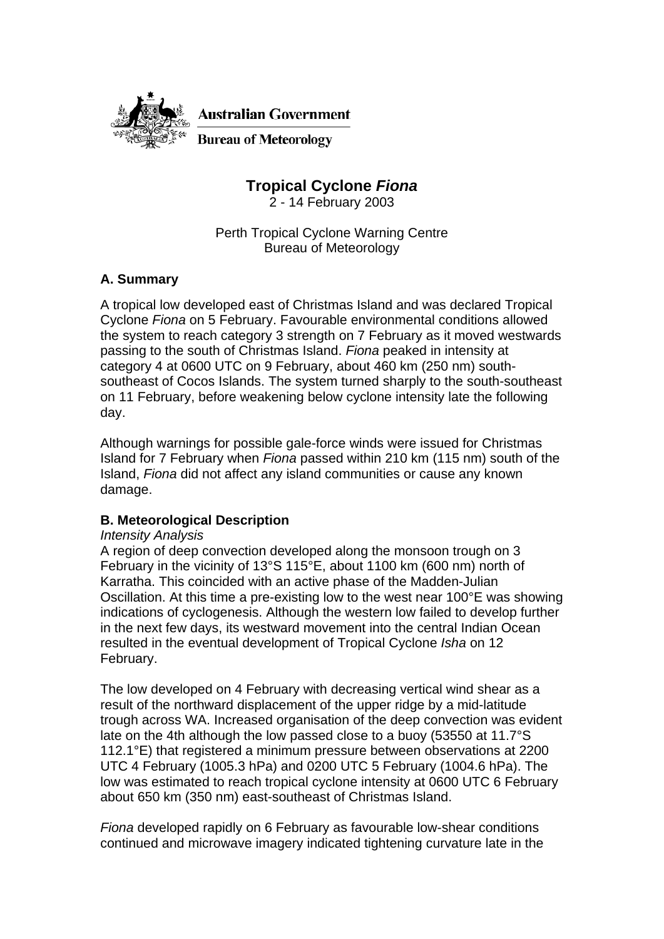

**Australian Government** 

**Bureau of Meteorology** 

**Tropical Cyclone** *Fiona*

2 - 14 February 2003

Perth Tropical Cyclone Warning Centre Bureau of Meteorology

# **A. Summary**

A tropical low developed east of Christmas Island and was declared Tropical Cyclone *Fiona* on 5 February. Favourable environmental conditions allowed the system to reach category 3 strength on 7 February as it moved westwards passing to the south of Christmas Island. *Fiona* peaked in intensity at category 4 at 0600 UTC on 9 February, about 460 km (250 nm) southsoutheast of Cocos Islands. The system turned sharply to the south-southeast on 11 February, before weakening below cyclone intensity late the following day.

Although warnings for possible gale-force winds were issued for Christmas Island for 7 February when *Fiona* passed within 210 km (115 nm) south of the Island, *Fiona* did not affect any island communities or cause any known damage.

# **B. Meteorological Description**

### *Intensity Analysis*

A region of deep convection developed along the monsoon trough on 3 February in the vicinity of 13°S 115°E, about 1100 km (600 nm) north of Karratha. This coincided with an active phase of the Madden-Julian Oscillation. At this time a pre-existing low to the west near 100°E was showing indications of cyclogenesis. Although the western low failed to develop further in the next few days, its westward movement into the central Indian Ocean resulted in the eventual development of Tropical Cyclone *Isha* on 12 February.

The low developed on 4 February with decreasing vertical wind shear as a result of the northward displacement of the upper ridge by a mid-latitude trough across WA. Increased organisation of the deep convection was evident late on the 4th although the low passed close to a buoy (53550 at 11.7°S 112.1°E) that registered a minimum pressure between observations at 2200 UTC 4 February (1005.3 hPa) and 0200 UTC 5 February (1004.6 hPa). The low was estimated to reach tropical cyclone intensity at 0600 UTC 6 February about 650 km (350 nm) east-southeast of Christmas Island.

*Fiona* developed rapidly on 6 February as favourable low-shear conditions continued and microwave imagery indicated tightening curvature late in the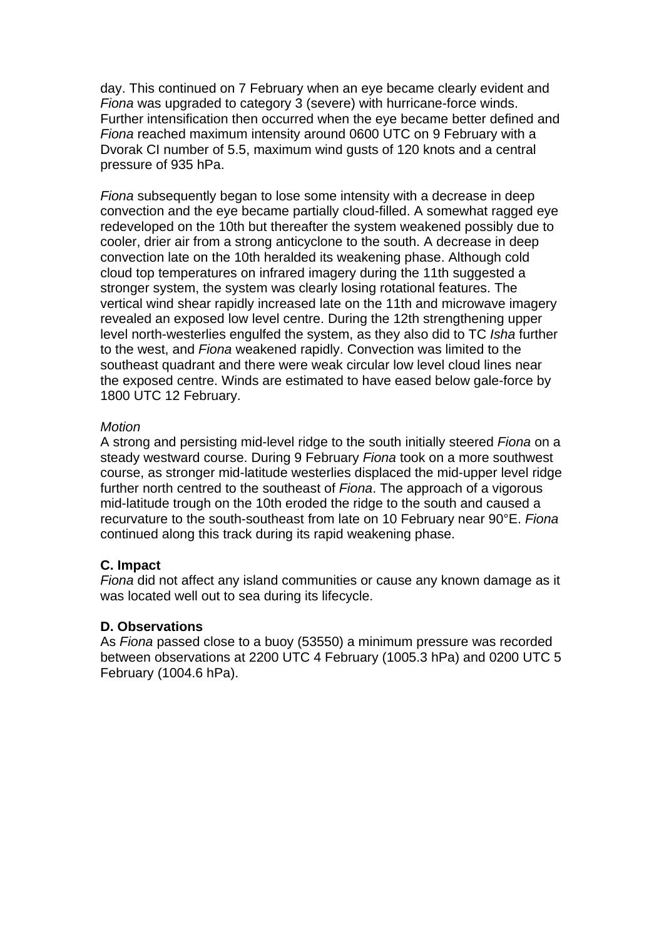day. This continued on 7 February when an eye became clearly evident and *Fiona* was upgraded to category 3 (severe) with hurricane-force winds. Further intensification then occurred when the eye became better defined and *Fiona* reached maximum intensity around 0600 UTC on 9 February with a Dvorak CI number of 5.5, maximum wind gusts of 120 knots and a central pressure of 935 hPa.

*Fiona* subsequently began to lose some intensity with a decrease in deep convection and the eye became partially cloud-filled. A somewhat ragged eye redeveloped on the 10th but thereafter the system weakened possibly due to cooler, drier air from a strong anticyclone to the south. A decrease in deep convection late on the 10th heralded its weakening phase. Although cold cloud top temperatures on infrared imagery during the 11th suggested a stronger system, the system was clearly losing rotational features. The vertical wind shear rapidly increased late on the 11th and microwave imagery revealed an exposed low level centre. During the 12th strengthening upper level north-westerlies engulfed the system, as they also did to TC *Isha* further to the west, and *Fiona* weakened rapidly. Convection was limited to the southeast quadrant and there were weak circular low level cloud lines near the exposed centre. Winds are estimated to have eased below gale-force by 1800 UTC 12 February.

### *Motion*

A strong and persisting mid-level ridge to the south initially steered *Fiona* on a steady westward course. During 9 February *Fiona* took on a more southwest course, as stronger mid-latitude westerlies displaced the mid-upper level ridge further north centred to the southeast of *Fiona*. The approach of a vigorous mid-latitude trough on the 10th eroded the ridge to the south and caused a recurvature to the south-southeast from late on 10 February near 90°E. *Fiona* continued along this track during its rapid weakening phase.

### **C. Impact**

*Fiona* did not affect any island communities or cause any known damage as it was located well out to sea during its lifecycle.

#### **D. Observations**

As *Fiona* passed close to a buoy (53550) a minimum pressure was recorded between observations at 2200 UTC 4 February (1005.3 hPa) and 0200 UTC 5 February (1004.6 hPa).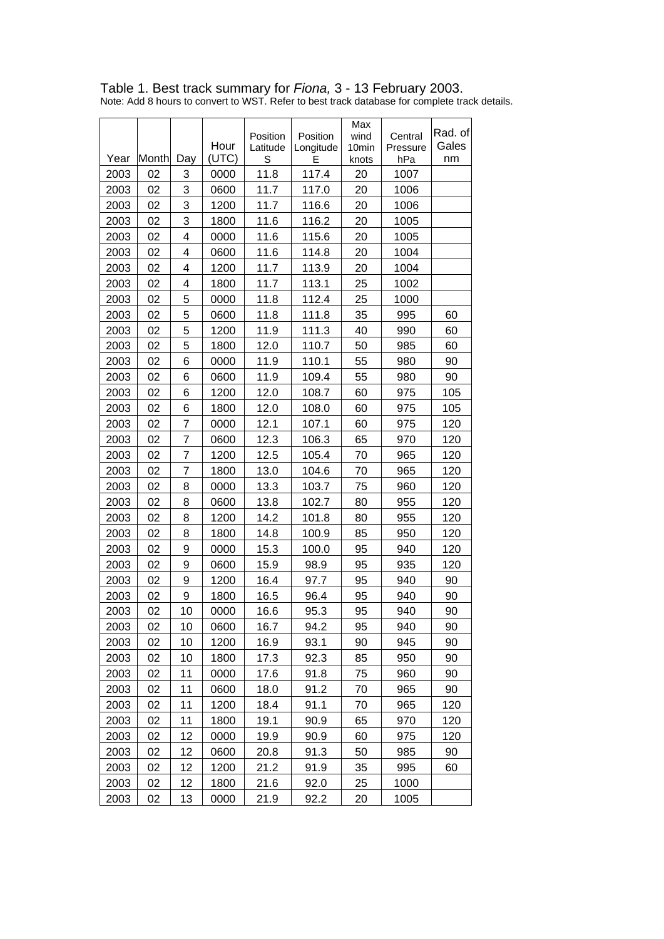# Table 1. Best track summary for *Fiona,* 3 - 13 February 2003.

Note: Add 8 hours to convert to WST. Refer to best track database for complete track details.

|      |       |                | Hour  | Position<br>Latitude | Position<br>Longitude | Max<br>wind<br>10 <sub>min</sub> | Central<br>Pressure | Rad. of<br>Gales |
|------|-------|----------------|-------|----------------------|-----------------------|----------------------------------|---------------------|------------------|
| Year | Month | Day            | (UTC) | S                    | F                     | knots                            | hPa                 | nm               |
| 2003 | 02    | 3              | 0000  | 11.8                 | 117.4                 | 20                               | 1007                |                  |
| 2003 | 02    | 3              | 0600  | 11.7                 | 117.0                 | 20                               | 1006                |                  |
| 2003 | 02    | 3              | 1200  | 11.7                 | 116.6                 | 20                               | 1006                |                  |
| 2003 | 02    | 3              | 1800  | 11.6                 | 116.2                 | 20                               | 1005                |                  |
| 2003 | 02    | 4              | 0000  | 11.6                 | 115.6                 | 20                               | 1005                |                  |
| 2003 | 02    | 4              | 0600  | 11.6                 | 114.8                 | 20                               | 1004                |                  |
| 2003 | 02    | 4              | 1200  | 11.7                 | 113.9                 | 20                               | 1004                |                  |
| 2003 | 02    | 4              | 1800  | 11.7                 | 113.1                 | 25                               | 1002                |                  |
| 2003 | 02    | 5              | 0000  | 11.8                 | 112.4                 | 25                               | 1000                |                  |
| 2003 | 02    | 5              | 0600  | 11.8                 | 111.8                 | 35                               | 995                 | 60               |
| 2003 | 02    | 5              | 1200  | 11.9                 | 111.3                 | 40                               | 990                 | 60               |
| 2003 | 02    | 5              | 1800  | 12.0                 | 110.7                 | 50                               | 985                 | 60               |
| 2003 | 02    | 6              | 0000  | 11.9                 | 110.1                 | 55                               | 980                 | 90               |
| 2003 | 02    | 6              | 0600  | 11.9                 | 109.4                 | 55                               | 980                 | 90               |
| 2003 | 02    | 6              | 1200  | 12.0                 | 108.7                 | 60                               | 975                 | 105              |
| 2003 | 02    | 6              | 1800  | 12.0                 | 108.0                 | 60                               | 975                 | 105              |
| 2003 | 02    | 7              | 0000  | 12.1                 | 107.1                 | 60                               | 975                 | 120              |
| 2003 | 02    | $\overline{7}$ | 0600  | 12.3                 | 106.3                 | 65                               | 970                 | 120              |
| 2003 | 02    | 7              | 1200  | 12.5                 | 105.4                 | 70                               | 965                 | 120              |
| 2003 | 02    | 7              | 1800  | 13.0                 | 104.6                 | 70                               | 965                 | 120              |
| 2003 | 02    | 8              | 0000  | 13.3                 | 103.7                 | 75                               | 960                 | 120              |
| 2003 | 02    | 8              | 0600  | 13.8                 | 102.7                 | 80                               | 955                 | 120              |
| 2003 | 02    | 8              | 1200  | 14.2                 | 101.8                 | 80                               | 955                 | 120              |
| 2003 | 02    | 8              | 1800  | 14.8                 | 100.9                 | 85                               | 950                 | 120              |
| 2003 | 02    | 9              | 0000  | 15.3                 | 100.0                 | 95                               | 940                 | 120              |
| 2003 | 02    | 9              | 0600  | 15.9                 | 98.9                  | 95                               | 935                 | 120              |
| 2003 | 02    | 9              | 1200  | 16.4                 | 97.7                  | 95                               | 940                 | 90               |
| 2003 | 02    | 9              | 1800  | 16.5                 | 96.4                  | 95                               | 940                 | 90               |
| 2003 | 02    | 10             | 0000  | 16.6                 | 95.3                  | 95                               | 940                 | 90               |
| 2003 | 02    | 10             | 0600  | 16.7                 | 94.2                  | 95                               | 940                 | 90               |
| 2003 | 02    | 10             | 1200  | 16.9                 | 93.1                  | 90                               | 945                 | 90               |
| 2003 | 02    | 10             | 1800  | 17.3                 | 92.3                  | 85                               | 950                 | 90               |
| 2003 | 02    | 11             | 0000  | 17.6                 | 91.8                  | 75                               | 960                 | 90               |
| 2003 | 02    | 11             | 0600  | 18.0                 | 91.2                  | 70                               | 965                 | 90               |
| 2003 | 02    | 11             | 1200  | 18.4                 | 91.1                  | 70                               | 965                 | 120              |
| 2003 | 02    | 11             | 1800  | 19.1                 | 90.9                  | 65                               | 970                 | 120              |
| 2003 | 02    | 12             | 0000  | 19.9                 | 90.9                  | 60                               | 975                 | 120              |
| 2003 | 02    | 12             | 0600  | 20.8                 | 91.3                  | 50                               | 985                 | 90               |
| 2003 | 02    | 12             | 1200  | 21.2                 | 91.9                  | 35                               | 995                 | 60               |
| 2003 | 02    | 12             | 1800  | 21.6                 | 92.0                  | 25                               | 1000                |                  |
| 2003 | 02    | 13             | 0000  | 21.9                 | 92.2                  | 20                               | 1005                |                  |